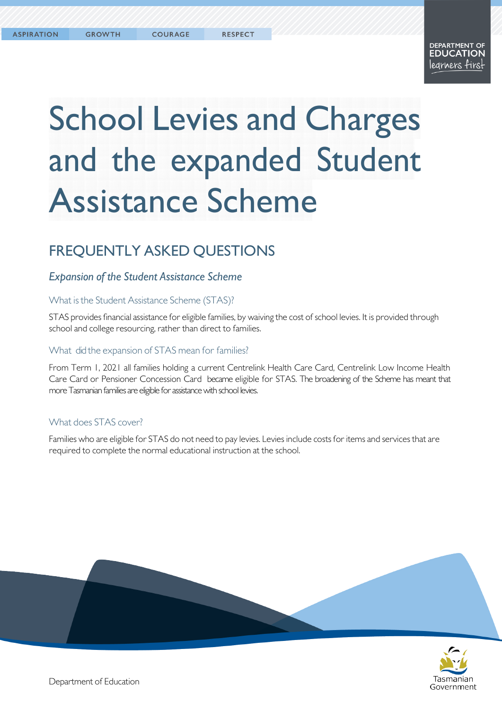#### **DEPARTMENT OF EDUCATION** legrners firs!

# School Levies and Charges and the expanded Student Assistance Scheme

# FREQUENTLY ASKED QUESTIONS

# *Expansion of the Student Assistance Scheme*

#### What is the Student Assistance Scheme (STAS)?

STAS provides financial assistance for eligible families, by waiving the cost of school levies. It is provided through school and college resourcing, rather than direct to families.

#### What did the expansion of STAS mean for families?

From Term 1, 2021 all families holding a current Centrelink Health Care Card, Centrelink Low Income Health Care Card or Pensioner Concession Card became eligible for STAS. The broadening of the Scheme has meant that more Tasmanian families are eligible for assistance with school levies.

# What does STAS cover?

Families who are eligible for STAS do not need to pay levies. Levies include costs foritems and services that are required to complete the normal educational instruction at the school.



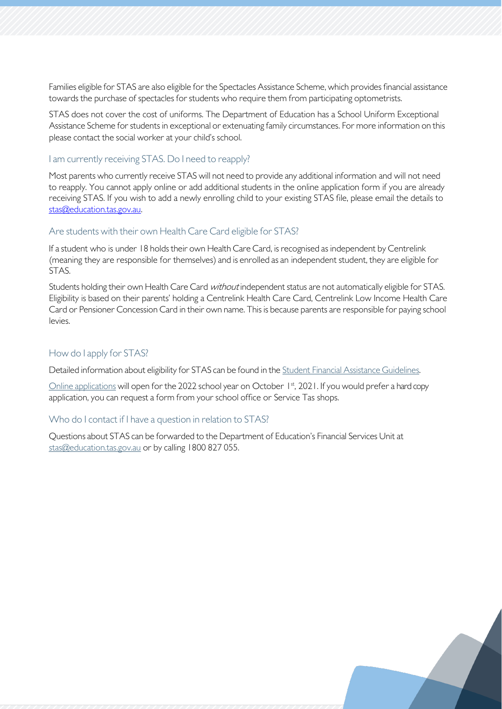Families eligible for STAS are also eligible forthe Spectacles Assistance Scheme, which provides financial assistance towards the purchase of spectacles for students who require them from participating optometrists.

STAS does not cover the cost of uniforms. The Department of Education has a School Uniform Exceptional Assistance Scheme for students in exceptional or extenuating family circumstances. For more information on this please contact the social worker at your child's school.

#### I am currently receiving STAS. Do I need to reapply?

Most parents who currently receive STAS will not need to provide any additional information and will not need to reapply. You cannot apply online or add additional students in the online application form if you are already receiving STAS. If you wish to add a newly enrolling child to your existing STAS file, please email the details to [stas@education.tas.gov.au.](mailto:stas@education.tas.gov.au)

#### Are students with their own Health Care Card eligible for STAS?

If a student who is under 18 holds their own Health Care Card, is recognised as independent by Centrelink (meaning they are responsible for themselves) and is enrolled as an independent student, they are eligible for STAS.

Students holding their own Health Care Card *without* independent status are not automatically eligible for STAS. Eligibility is based on their parents' holding a Centrelink Health Care Card, Centrelink Low Income Health Care Card or Pensioner Concession Card in their own name. This is because parents are responsible for paying school levies.

#### How do I apply for STAS?

Detailed information about eligibility for STAS can be found in the Student Financial Assistance [Guidelines.](https://tasedu.sharepoint.com/sites/intranet/_layouts/15/DocIdRedir.aspx?ID=TASED-1060461114-135)

Online [applications](https://www.education.tas.gov.au/parents-carers/parent-fact-sheets/fees-levies/) will open for the 2022 school year on October 1st, 2021. If you would prefer a hard copy application, you can request a form from your school office or Service Tas shops.

#### Who do I contact if I have a question in relation to STAS?

Questions about STAS can be forwarded to the Department of Education's Financial Services Unit at [stas@education.tas.gov.au](mailto:stas@education.tas.gov.au) or by calling 1800 827 055.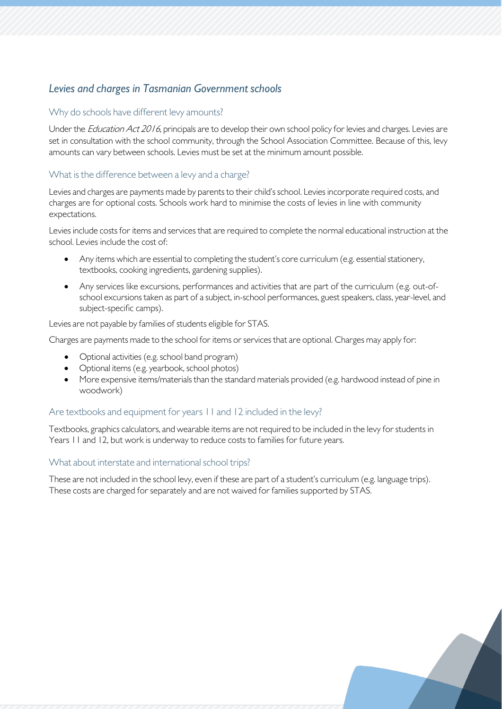# *Levies and charges in Tasmanian Government schools*

## Why do schools have different levy amounts?

Under the *Education Act 2016*, principals are to develop their own school policy for levies and charges. Levies are set in consultation with the school community, through the School Association Committee. Because of this, levy amounts can vary between schools. Levies must be set at the minimum amount possible.

# What is the difference between a levy and a charge?

Levies and charges are payments made by parents to their child's school. Levies incorporate required costs, and charges are for optional costs. Schools work hard to minimise the costs of levies in line with community expectations.

Levies include costs for items and services that are required to complete the normal educational instruction at the school. Levies include the cost of:

- Any items which are essential to completing the student's core curriculum (e.g. essential stationery, textbooks, cooking ingredients, gardening supplies).
- Any services like excursions, performances and activities that are part of the curriculum (e.g. out-ofschool excursions taken as part of a subject, in-school performances, guest speakers, class, year-level, and subject-specific camps).

Levies are not payable by families of students eligible for STAS.

Charges are payments made to the school for items or services that are optional. Charges may apply for:

- Optional activities (e.g. school band program)
- Optional items (e.g. yearbook, school photos)
- More expensive items/materials than the standard materials provided (e.g. hardwood instead of pine in woodwork)

#### Are textbooks and equipment for years 11 and 12 included in the levy?

Textbooks, graphics calculators, and wearable items are not required to be included in the levy for students in Years 11 and 12, but work is underway to reduce costs to families for future years.

#### What about interstate and international school trips?

These are not included in the school levy, even if these are part of a student's curriculum (e.g. language trips). These costs are charged for separately and are not waived for families supported by STAS.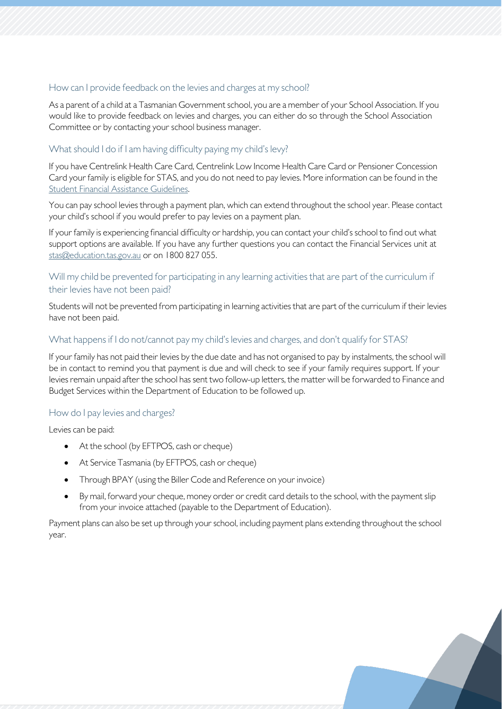#### How can I provide feedback on the levies and charges at my school?

As a parent of a child at a Tasmanian Government school, you are a member of your School Association. If you would like to provide feedback on levies and charges, you can either do so through the School Association Committee or by contacting your school business manager.

#### What should I do if I am having difficulty paying my child's levy?

If you have Centrelink Health Care Card, Centrelink Low Income Health Care Card or Pensioner Concession Card your family is eligible for STAS, and you do not need to pay levies. More information can be found in the Student Financial Assistance [Guidelines.](https://tasedu.sharepoint.com/sites/intranet/_layouts/15/DocIdRedir.aspx?ID=TASED-1060461114-135)

You can pay school levies through a payment plan, which can extend throughout the school year. Please contact your child's school if you would prefer to pay levies on a payment plan.

If your family is experiencing financial difficulty or hardship, you can contact your child's school to find out what support options are available. If you have any further questions you can contact the Financial Services unit at [stas@education.tas.gov.au](mailto:stas@education.tas.gov.au) or on 1800 827 055.

## Will my child be prevented for participating in any learning activities that are part of the curriculum if their levies have not been paid?

Students will not be prevented from participating in learning activities that are part of the curriculum if their levies have not been paid.

#### What happens if I do not/cannot pay my child's levies and charges, and don't qualify for STAS?

If your family has not paid their levies by the due date and has not organised to pay by instalments, the school will be in contact to remind you that payment is due and will check to see if your family requires support. If your levies remain unpaid afterthe school has sent two follow-up letters, the matter will be forwarded to Finance and Budget Services within the Department of Education to be followed up.

#### How do I pay levies and charges?

Levies can be paid:

- At the school (by EFTPOS, cash or cheque)
- At Service Tasmania (by EFTPOS, cash or cheque)
- Through BPAY (using the Biller Code and Reference on your invoice)
- By mail, forward your cheque, money order or credit card details to the school, with the payment slip from your invoice attached (payable to the Department of Education).

Payment plans can also be set up through your school, including payment plans extending throughout the school year.